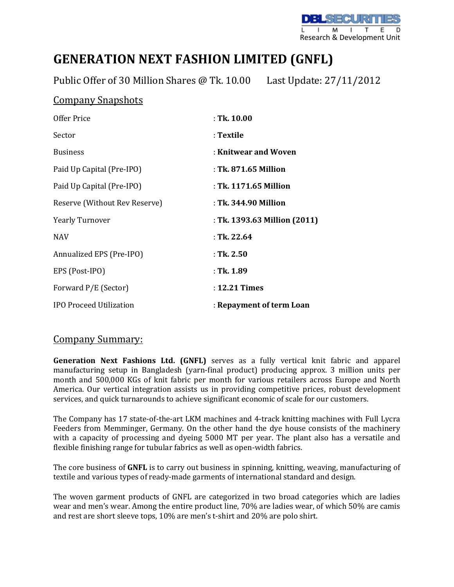

## **GENERATION NEXT FASHION LIMITED (GNFL)**

Public Offer of 30 Million Shares @ Tk. 10.00 Last Update: 27/11/2012

## Company Snapshots

| Offer Price                    | $:$ Tk. 10.00                |
|--------------------------------|------------------------------|
| Sector                         | : Textile                    |
| <b>Business</b>                | : Knitwear and Woven         |
| Paid Up Capital (Pre-IPO)      | : Tk. 871.65 Million         |
| Paid Up Capital (Pre-IPO)      | : Tk. 1171.65 Million        |
| Reserve (Without Rev Reserve)  | : Tk. 344.90 Million         |
| <b>Yearly Turnover</b>         | : Tk. 1393.63 Million (2011) |
| <b>NAV</b>                     | : Tk. 22.64                  |
| Annualized EPS (Pre-IPO)       | : Tk. 2.50                   |
| EPS (Post-IPO)                 | : Tk. 1.89                   |
| Forward P/E (Sector)           | : 12.21 Times                |
| <b>IPO Proceed Utilization</b> | : Repayment of term Loan     |

## Company Summary:

**Generation Next Fashions Ltd. (GNFL)** serves as a fully vertical knit fabric and apparel manufacturing setup in Bangladesh (yarn-final product) producing approx. 3 million units per month and 500,000 KGs of knit fabric per month for various retailers across Europe and North America. Our vertical integration assists us in providing competitive prices, robust development services, and quick turnarounds to achieve significant economic of scale for our customers.

The Company has 17 state-of-the-art LKM machines and 4-track knitting machines with Full Lycra Feeders from Memminger, Germany. On the other hand the dye house consists of the machinery with a capacity of processing and dyeing 5000 MT per year. The plant also has a versatile and flexible finishing range for tubular fabrics as well as open-width fabrics.

The core business of **GNFL** is to carry out business in spinning, knitting, weaving, manufacturing of textile and various types of ready-made garments of international standard and design.

The woven garment products of GNFL are categorized in two broad categories which are ladies wear and men's wear. Among the entire product line, 70% are ladies wear, of which 50% are camis and rest are short sleeve tops, 10% are men's t-shirt and 20% are polo shirt.